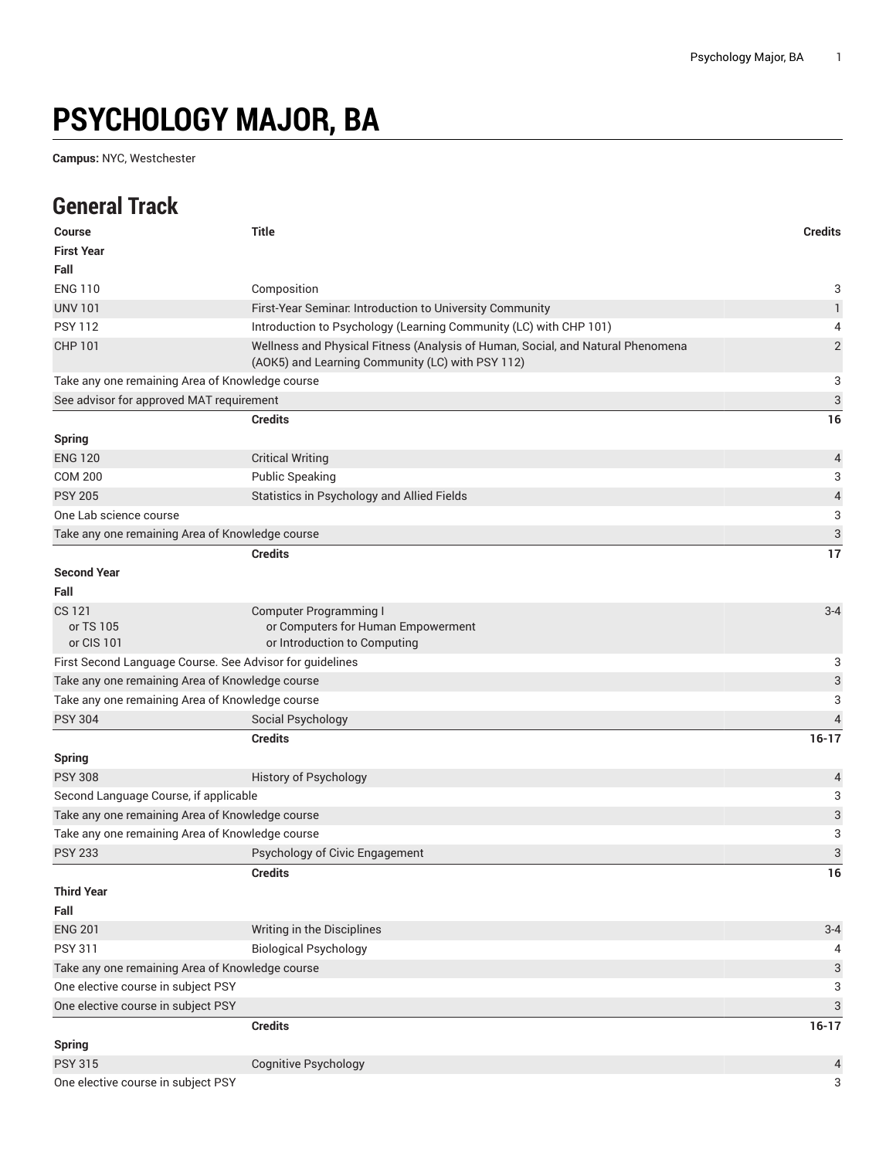## **PSYCHOLOGY MAJOR, BA**

**Campus:** NYC, Westchester

## **General Track**

| <b>Course</b>                                            | <b>Title</b>                                                                                                                        | <b>Credits</b>            |
|----------------------------------------------------------|-------------------------------------------------------------------------------------------------------------------------------------|---------------------------|
| <b>First Year</b>                                        |                                                                                                                                     |                           |
| Fall                                                     |                                                                                                                                     |                           |
| <b>ENG 110</b>                                           | Composition                                                                                                                         | 3                         |
| <b>UNV 101</b>                                           | First-Year Seminar. Introduction to University Community                                                                            | $\mathbf{1}$              |
| <b>PSY 112</b>                                           | Introduction to Psychology (Learning Community (LC) with CHP 101)                                                                   | 4                         |
| <b>CHP 101</b>                                           | Wellness and Physical Fitness (Analysis of Human, Social, and Natural Phenomena<br>(AOK5) and Learning Community (LC) with PSY 112) | $\overline{2}$            |
| Take any one remaining Area of Knowledge course          |                                                                                                                                     | 3                         |
| See advisor for approved MAT requirement                 |                                                                                                                                     | $\sqrt{3}$                |
|                                                          | <b>Credits</b>                                                                                                                      | 16                        |
| <b>Spring</b>                                            |                                                                                                                                     |                           |
| <b>ENG 120</b>                                           | <b>Critical Writing</b>                                                                                                             | 4                         |
| <b>COM 200</b>                                           | <b>Public Speaking</b>                                                                                                              | 3                         |
| <b>PSY 205</b>                                           | Statistics in Psychology and Allied Fields                                                                                          | $\overline{4}$            |
| One Lab science course                                   |                                                                                                                                     | 3                         |
| Take any one remaining Area of Knowledge course          |                                                                                                                                     | 3                         |
|                                                          | <b>Credits</b>                                                                                                                      | 17                        |
| <b>Second Year</b><br>Fall                               |                                                                                                                                     |                           |
| CS 121                                                   | <b>Computer Programming I</b>                                                                                                       | $3 - 4$                   |
| or TS 105                                                | or Computers for Human Empowerment                                                                                                  |                           |
| or CIS 101                                               | or Introduction to Computing                                                                                                        |                           |
| First Second Language Course. See Advisor for guidelines |                                                                                                                                     | 3                         |
| Take any one remaining Area of Knowledge course          |                                                                                                                                     | $\ensuremath{\mathsf{3}}$ |
| Take any one remaining Area of Knowledge course          |                                                                                                                                     | 3                         |
| <b>PSY 304</b>                                           | Social Psychology                                                                                                                   | $\overline{4}$            |
|                                                          | <b>Credits</b>                                                                                                                      | $16-17$                   |
| <b>Spring</b>                                            |                                                                                                                                     |                           |
| <b>PSY 308</b>                                           | History of Psychology                                                                                                               | 4                         |
| Second Language Course, if applicable                    |                                                                                                                                     | 3                         |
| Take any one remaining Area of Knowledge course          |                                                                                                                                     | $\ensuremath{\mathsf{3}}$ |
| Take any one remaining Area of Knowledge course          |                                                                                                                                     | $\ensuremath{\mathsf{3}}$ |
| <b>PSY 233</b>                                           | Psychology of Civic Engagement                                                                                                      | 3                         |
|                                                          | <b>Credits</b>                                                                                                                      | 16                        |
| <b>Third Year</b>                                        |                                                                                                                                     |                           |
| Fall                                                     |                                                                                                                                     |                           |
| <b>ENG 201</b>                                           | Writing in the Disciplines                                                                                                          | $3 - 4$                   |
| <b>PSY 311</b>                                           | <b>Biological Psychology</b>                                                                                                        | 4                         |
| Take any one remaining Area of Knowledge course          |                                                                                                                                     | 3                         |
| One elective course in subject PSY                       |                                                                                                                                     | 3                         |
| One elective course in subject PSY                       |                                                                                                                                     | $\ensuremath{\mathsf{3}}$ |
|                                                          | <b>Credits</b>                                                                                                                      | $16-17$                   |
| <b>Spring</b>                                            |                                                                                                                                     |                           |
| <b>PSY 315</b>                                           | <b>Cognitive Psychology</b>                                                                                                         | 4                         |
| One elective course in subject PSY                       |                                                                                                                                     | 3                         |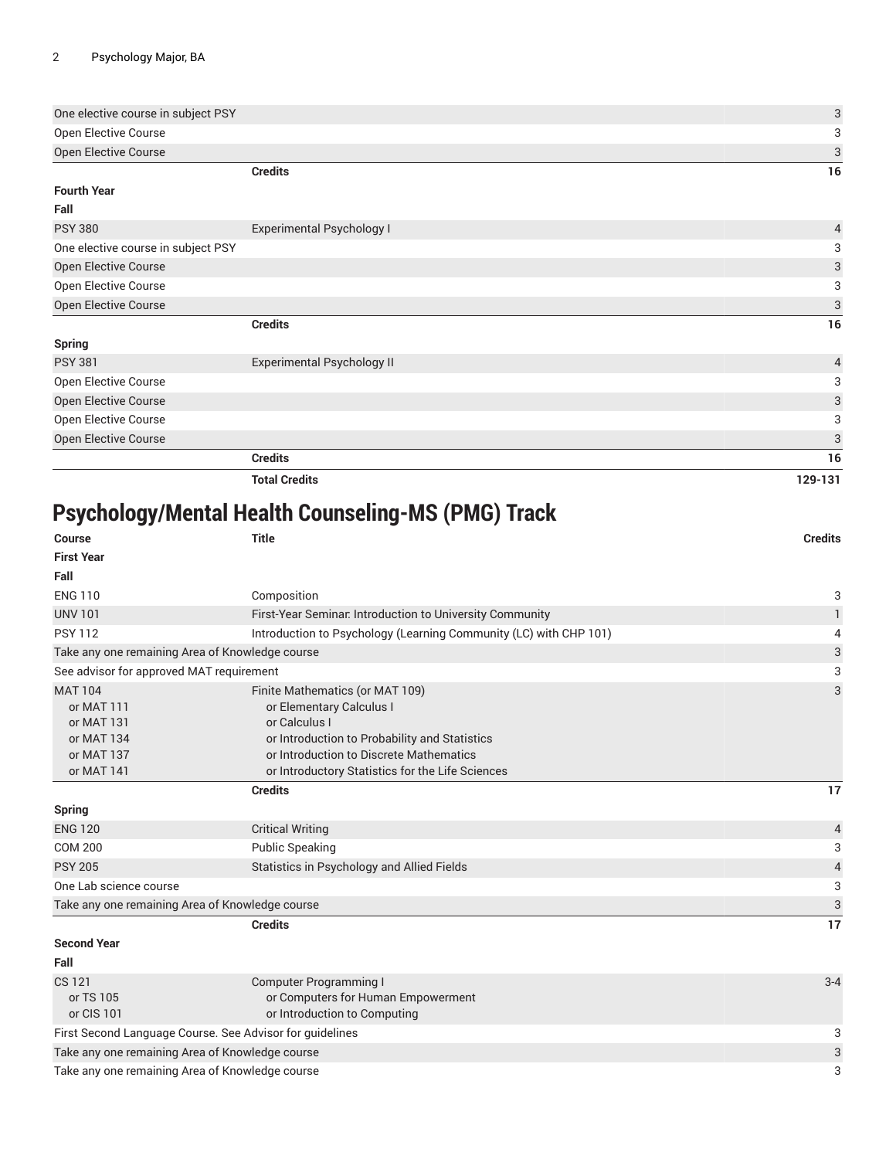| One elective course in subject PSY |                                   | 3              |
|------------------------------------|-----------------------------------|----------------|
| Open Elective Course               |                                   | 3              |
| Open Elective Course               |                                   | 3              |
|                                    | <b>Credits</b>                    | 16             |
| <b>Fourth Year</b>                 |                                   |                |
| Fall                               |                                   |                |
| <b>PSY 380</b>                     | Experimental Psychology I         | $\overline{4}$ |
| One elective course in subject PSY |                                   | 3              |
| Open Elective Course               |                                   | 3              |
| Open Elective Course               |                                   | 3              |
| Open Elective Course               |                                   | 3              |
|                                    | <b>Credits</b>                    | 16             |
| <b>Spring</b>                      |                                   |                |
| <b>PSY 381</b>                     | <b>Experimental Psychology II</b> | $\sqrt{4}$     |
| Open Elective Course               |                                   | 3              |
| Open Elective Course               |                                   | 3              |
| Open Elective Course               |                                   | 3              |
| Open Elective Course               |                                   | 3              |
|                                    | <b>Credits</b>                    | 16             |
|                                    | <b>Total Credits</b>              | 129-131        |
|                                    |                                   |                |

## **Psychology/Mental Health Counseling-MS (PMG) Track**

| <b>Course</b>                                                                        | <b>Title</b>                                                                                                                                                                                                                 | <b>Credits</b>           |  |  |
|--------------------------------------------------------------------------------------|------------------------------------------------------------------------------------------------------------------------------------------------------------------------------------------------------------------------------|--------------------------|--|--|
| <b>First Year</b>                                                                    |                                                                                                                                                                                                                              |                          |  |  |
| Fall                                                                                 |                                                                                                                                                                                                                              |                          |  |  |
| <b>ENG 110</b>                                                                       | Composition                                                                                                                                                                                                                  | 3                        |  |  |
| <b>UNV 101</b>                                                                       | First-Year Seminar. Introduction to University Community                                                                                                                                                                     | 1                        |  |  |
| <b>PSY 112</b>                                                                       | Introduction to Psychology (Learning Community (LC) with CHP 101)                                                                                                                                                            | 4                        |  |  |
| Take any one remaining Area of Knowledge course                                      |                                                                                                                                                                                                                              | 3                        |  |  |
| See advisor for approved MAT requirement                                             |                                                                                                                                                                                                                              | 3                        |  |  |
| <b>MAT 104</b><br>or MAT 111<br>or MAT 131<br>or MAT 134<br>or MAT 137<br>or MAT 141 | Finite Mathematics (or MAT 109)<br>or Elementary Calculus I<br>or Calculus I<br>or Introduction to Probability and Statistics<br>or Introduction to Discrete Mathematics<br>or Introductory Statistics for the Life Sciences | 3                        |  |  |
|                                                                                      | <b>Credits</b>                                                                                                                                                                                                               | 17                       |  |  |
| <b>Spring</b>                                                                        |                                                                                                                                                                                                                              |                          |  |  |
| <b>ENG 120</b>                                                                       | <b>Critical Writing</b>                                                                                                                                                                                                      | 4                        |  |  |
| <b>COM 200</b>                                                                       | <b>Public Speaking</b>                                                                                                                                                                                                       | 3                        |  |  |
| <b>PSY 205</b>                                                                       | Statistics in Psychology and Allied Fields                                                                                                                                                                                   | $\overline{\mathcal{L}}$ |  |  |
| One Lab science course                                                               |                                                                                                                                                                                                                              | 3                        |  |  |
| $\ensuremath{\mathsf{3}}$<br>Take any one remaining Area of Knowledge course         |                                                                                                                                                                                                                              |                          |  |  |
|                                                                                      | <b>Credits</b>                                                                                                                                                                                                               | 17                       |  |  |
| <b>Second Year</b>                                                                   |                                                                                                                                                                                                                              |                          |  |  |
| Fall                                                                                 |                                                                                                                                                                                                                              |                          |  |  |
| <b>CS 121</b><br>or TS 105<br>or CIS 101                                             | <b>Computer Programming I</b><br>or Computers for Human Empowerment<br>or Introduction to Computing                                                                                                                          | $3 - 4$                  |  |  |
| First Second Language Course. See Advisor for guidelines                             |                                                                                                                                                                                                                              |                          |  |  |
| Take any one remaining Area of Knowledge course                                      |                                                                                                                                                                                                                              |                          |  |  |
| Take any one remaining Area of Knowledge course                                      |                                                                                                                                                                                                                              |                          |  |  |